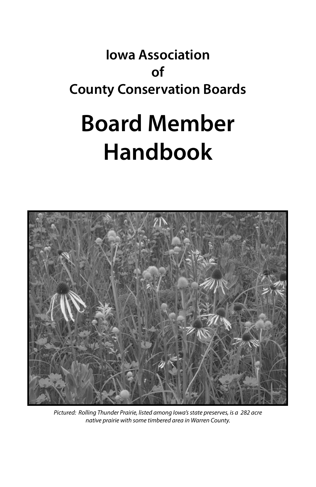### **Iowa Association of County Conservation Boards**

# **Board Member Handbook**



*Pictured: Rolling Thunder Prairie, listed among Iowa's state preserves, is a 282 acre native prairie with some timbered area in Warren County.*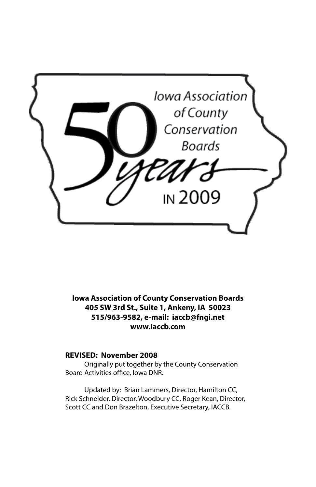

**Iowa Association of County Conservation Boards 405 SW 3rd St., Suite 1, Ankeny, IA 50023 515/963-9582, e-mail: iaccb@fngi.net www.iaccb.com**

#### **REVISED: November 2008**

Originally put together by the County Conservation Board Activities office, Iowa DNR.

Updated by: Brian Lammers, Director, Hamilton CC, Rick Schneider, Director, Woodbury CC, Roger Kean, Director, Scott CC and Don Brazelton, Executive Secretary, IACCB.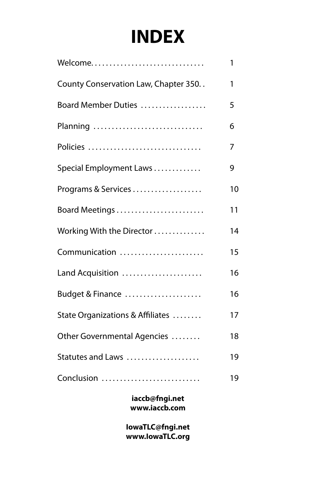# **INDEX**

| Welcome                              | 1  |
|--------------------------------------|----|
| County Conservation Law, Chapter 350 | 1  |
| Board Member Duties                  | 5  |
| Planning                             | 6  |
| Policies                             | 7  |
| Special Employment Laws              | 9  |
| Programs & Services                  | 10 |
| Board Meetings                       | 11 |
| Working With the Director            | 14 |
| Communication                        | 15 |
| Land Acquisition                     | 16 |
| Budget & Finance                     | 16 |
| State Organizations & Affiliates     | 17 |
| Other Governmental Agencies          | 18 |
| Statutes and Laws                    | 19 |
| Conclusion                           | 19 |

**iaccb@fngi.net www.iaccb.com**

**IowaTLC@fngi.net www.IowaTLC.org**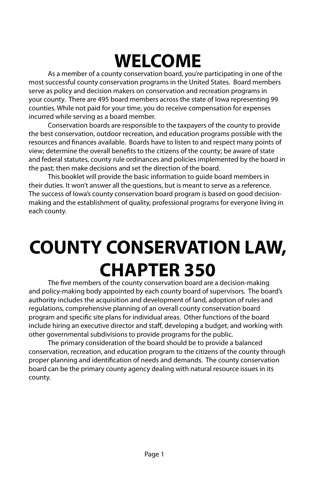# **WELCOME**

As a member of a county conservation board, you're participating in one of the most successful county conservation programs in the United States. Board members serve as policy and decision makers on conservation and recreation programs in your county. There are 495 board members across the state of Iowa representing 99 counties. While not paid for your time, you do receive compensation for expenses incurred while serving as a board member.

Conservation boards are responsible to the taxpayers of the county to provide the best conservation, outdoor recreation, and education programs possible with the resources and finances available. Boards have to listen to and respect many points of view; determine the overall benefits to the citizens of the county; be aware of state and federal statutes, county rule ordinances and policies implemented by the board in the past; then make decisions and set the direction of the board.

This booklet will provide the basic information to guide board members in their duties. It won't answer all the questions, but is meant to serve as a reference. The success of Iowa's county conservation board program is based on good decisionmaking and the establishment of quality, professional programs for everyone living in each county.

# **COUNTY CONSERVATION LAW, CHAPTER 350**

The five members of the county conservation board are a decision-making and policy-making body appointed by each county board of supervisors. The board's authority includes the acquisition and development of land, adoption of rules and regulations, comprehensive planning of an overall county conservation board program and specific site plans for individual areas. Other functions of the board include hiring an executive director and staff, developing a budget, and working with other governmental subdivisions to provide programs for the public.

The primary consideration of the board should be to provide a balanced conservation, recreation, and education program to the citizens of the county through proper planning and identification of needs and demands. The county conservation board can be the primary county agency dealing with natural resource issues in its county.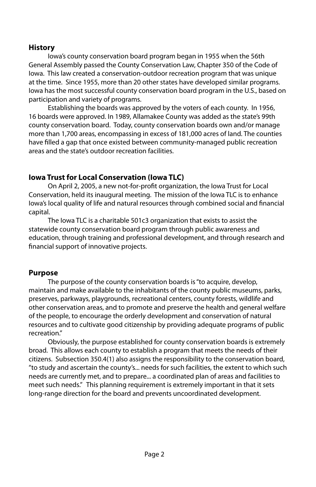### **History**

Iowa's county conservation board program began in 1955 when the 56th General Assembly passed the County Conservation Law, Chapter 350 of the Code of Iowa. This law created a conservation-outdoor recreation program that was unique at the time. Since 1955, more than 20 other states have developed similar programs. Iowa has the most successful county conservation board program in the U.S., based on participation and variety of programs.

Establishing the boards was approved by the voters of each county. In 1956, 16 boards were approved. In 1989, Allamakee County was added as the state's 99th county conservation board. Today, county conservation boards own and/or manage more than 1,700 areas, encompassing in excess of 181,000 acres of land. The counties have filled a gap that once existed between community-managed public recreation areas and the state's outdoor recreation facilities.

### **Iowa Trust for Local Conservation (Iowa TLC)**

On April 2, 2005, a new not-for-profit organization, the Iowa Trust for Local Conservation, held its inaugural meeting. The mission of the Iowa TLC is to enhance Iowa's local quality of life and natural resources through combined social and financial capital.

The Iowa TLC is a charitable 501c3 organization that exists to assist the statewide county conservation board program through public awareness and education, through training and professional development, and through research and financial support of innovative projects.

### **Purpose**

The purpose of the county conservation boards is "to acquire, develop, maintain and make available to the inhabitants of the county public museums, parks, preserves, parkways, playgrounds, recreational centers, county forests, wildlife and other conservation areas, and to promote and preserve the health and general welfare of the people, to encourage the orderly development and conservation of natural resources and to cultivate good citizenship by providing adequate programs of public recreation."

Obviously, the purpose established for county conservation boards is extremely broad. This allows each county to establish a program that meets the needs of their citizens. Subsection 350.4(1) also assigns the responsibility to the conservation board, "to study and ascertain the county's... needs for such facilities, the extent to which such needs are currently met, and to prepare... a coordinated plan of areas and facilities to meet such needs." This planning requirement is extremely important in that it sets long-range direction for the board and prevents uncoordinated development.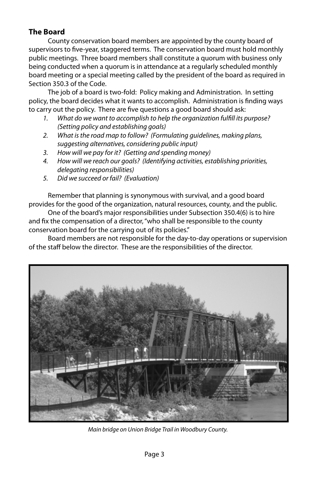### **The Board**

County conservation board members are appointed by the county board of supervisors to five-year, staggered terms. The conservation board must hold monthly public meetings. Three board members shall constitute a quorum with business only being conducted when a quorum is in attendance at a regularly scheduled monthly board meeting or a special meeting called by the president of the board as required in Section 350.3 of the Code.

The job of a board is two-fold: Policy making and Administration. In setting policy, the board decides what it wants to accomplish. Administration is finding ways to carry out the policy. There are five questions a good board should ask:

- *1. What do we want to accomplish to help the organization fulfill its purpose? (Setting policy and establishing goals)*
- *2. What is the road map to follow? (Formulating guidelines, making plans, suggesting alternatives, considering public input)*
- *3. How will we pay for it? (Getting and spending money)*
- *4. How will we reach our goals? (Identifying activities, establishing priorities, delegating responsibilities)*
- *5. Did we succeed or fail? (Evaluation)*

Remember that planning is synonymous with survival, and a good board provides for the good of the organization, natural resources, county, and the public.

One of the board's major responsibilities under Subsection 350.4(6) is to hire and fix the compensation of a director, "who shall be responsible to the county conservation board for the carrying out of its policies."

Board members are not responsible for the day-to-day operations or supervision of the staff below the director. These are the responsibilities of the director.



*Main bridge on Union Bridge Trail in Woodbury County.*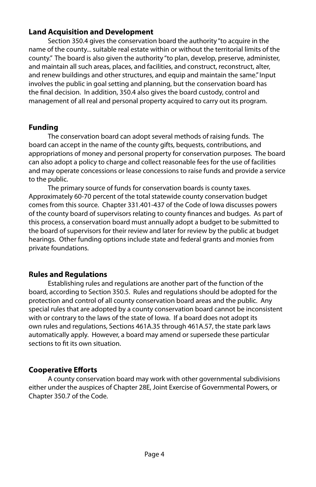### **Land Acquisition and Development**

Section 350.4 gives the conservation board the authority "to acquire in the name of the county... suitable real estate within or without the territorial limits of the county." The board is also given the authority "to plan, develop, preserve, administer, and maintain all such areas, places, and facilities, and construct, reconstruct, alter, and renew buildings and other structures, and equip and maintain the same." Input involves the public in goal setting and planning, but the conservation board has the final decision. In addition, 350.4 also gives the board custody, control and management of all real and personal property acquired to carry out its program.

### **Funding**

The conservation board can adopt several methods of raising funds. The board can accept in the name of the county gifts, bequests, contributions, and appropriations of money and personal property for conservation purposes. The board can also adopt a policy to charge and collect reasonable fees for the use of facilities and may operate concessions or lease concessions to raise funds and provide a service to the public.

The primary source of funds for conservation boards is county taxes. Approximately 60-70 percent of the total statewide county conservation budget comes from this source. Chapter 331.401-437 of the Code of Iowa discusses powers of the county board of supervisors relating to county finances and budges. As part of this process, a conservation board must annually adopt a budget to be submitted to the board of supervisors for their review and later for review by the public at budget hearings. Other funding options include state and federal grants and monies from private foundations.

### **Rules and Regulations**

Establishing rules and regulations are another part of the function of the board, according to Section 350.5. Rules and regulations should be adopted for the protection and control of all county conservation board areas and the public. Any special rules that are adopted by a county conservation board cannot be inconsistent with or contrary to the laws of the state of Iowa. If a board does not adopt its own rules and regulations, Sections 461A.35 through 461A.57, the state park laws automatically apply. However, a board may amend or supersede these particular sections to fit its own situation.

### **Cooperative Efforts**

A county conservation board may work with other governmental subdivisions either under the auspices of Chapter 28E, Joint Exercise of Governmental Powers, or Chapter 350.7 of the Code.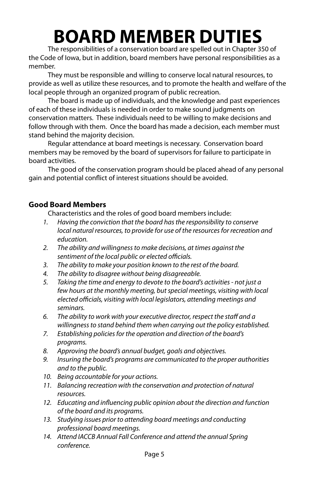# **BOARD MEMBER DUTIES**

The responsibilities of a conservation board are spelled out in Chapter 350 of the Code of Iowa, but in addition, board members have personal responsibilities as a member.

They must be responsible and willing to conserve local natural resources, to provide as well as utilize these resources, and to promote the health and welfare of the local people through an organized program of public recreation.

The board is made up of individuals, and the knowledge and past experiences of each of these individuals is needed in order to make sound judgments on conservation matters. These individuals need to be willing to make decisions and follow through with them. Once the board has made a decision, each member must stand behind the majority decision.

Regular attendance at board meetings is necessary. Conservation board members may be removed by the board of supervisors for failure to participate in board activities.

The good of the conservation program should be placed ahead of any personal gain and potential conflict of interest situations should be avoided.

### **Good Board Members**

Characteristics and the roles of good board members include:

- *1. Having the conviction that the board has the responsibility to conserve local natural resources, to provide for use of the resources for recreation and education.*
- *2. The ability and willingness to make decisions, at times against the sentiment of the local public or elected officials.*
- *3. The ability to make your position known to the rest of the board.*
- *4. The ability to disagree without being disagreeable.*
- *5. Taking the time and energy to devote to the board's activities not just a few hours at the monthly meeting, but special meetings, visiting with local elected officials, visiting with local legislators, attending meetings and seminars.*
- *6. The ability to work with your executive director, respect the staff and a willingness to stand behind them when carrying out the policy established.*
- *7. Establishing policies for the operation and direction of the board's programs.*
- *8. Approving the board's annual budget, goals and objectives.*
- *9. Insuring the board's programs are communicated to the proper authorities and to the public.*
- *10. Being accountable for your actions.*
- *11. Balancing recreation with the conservation and protection of natural resources.*
- *12. Educating and influencing public opinion about the direction and function of the board and its programs.*
- *13. Studying issues prior to attending board meetings and conducting professional board meetings.*
- *14. Attend IACCB Annual Fall Conference and attend the annual Spring conference.*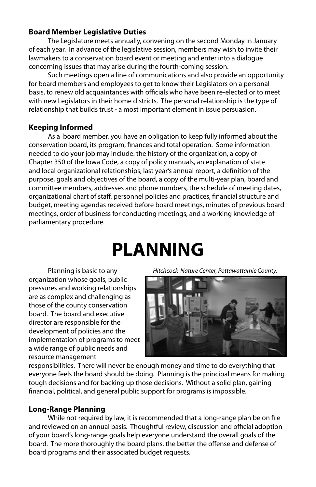### **Board Member Legislative Duties**

The Legislature meets annually, convening on the second Monday in January of each year. In advance of the legislative session, members may wish to invite their lawmakers to a conservation board event or meeting and enter into a dialogue concerning issues that may arise during the fourth-coming session.

Such meetings open a line of communications and also provide an opportunity for board members and employees to get to know their Legislators on a personal basis, to renew old acquaintances with officials who have been re-elected or to meet with new Legislators in their home districts. The personal relationship is the type of relationship that builds trust - a most important element in issue persuasion.

### **Keeping Informed**

As a board member, you have an obligation to keep fully informed about the conservation board, its program, finances and total operation. Some information needed to do your job may include: the history of the organization, a copy of Chapter 350 of the Iowa Code, a copy of policy manuals, an explanation of state and local organizational relationships, last year's annual report, a definition of the purpose, goals and objectives of the board, a copy of the multi-year plan, board and committee members, addresses and phone numbers, the schedule of meeting dates, organizational chart of staff, personnel policies and practices, financial structure and budget, meeting agendas received before board meetings, minutes of previous board meetings, order of business for conducting meetings, and a working knowledge of parliamentary procedure.

### **PLANNING**

Planning is basic to any organization whose goals, public pressures and working relationships are as complex and challenging as those of the county conservation board. The board and executive director are responsible for the development of policies and the implementation of programs to meet a wide range of public needs and resource management

*Hitchcock Nature Center, Pottawattamie County.*



responsibilities. There will never be enough money and time to do everything that everyone feels the board should be doing. Planning is the principal means for making tough decisions and for backing up those decisions. Without a solid plan, gaining financial, political, and general public support for programs is impossible.

### **Long-Range Planning**

While not required by law, it is recommended that a long-range plan be on file and reviewed on an annual basis. Thoughtful review, discussion and official adoption of your board's long-range goals help everyone understand the overall goals of the board. The more thoroughly the board plans, the better the offense and defense of board programs and their associated budget requests.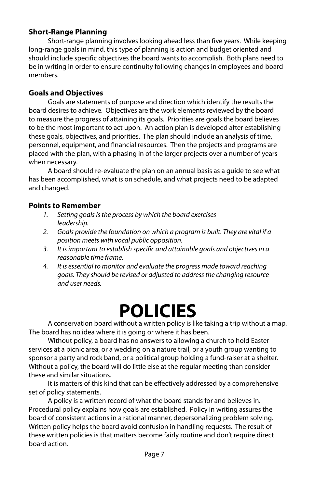### **Short-Range Planning**

Short-range planning involves looking ahead less than five years. While keeping long-range goals in mind, this type of planning is action and budget oriented and should include specific objectives the board wants to accomplish. Both plans need to be in writing in order to ensure continuity following changes in employees and board members.

### **Goals and Objectives**

Goals are statements of purpose and direction which identify the results the board desires to achieve. Objectives are the work elements reviewed by the board to measure the progress of attaining its goals. Priorities are goals the board believes to be the most important to act upon. An action plan is developed after establishing these goals, objectives, and priorities. The plan should include an analysis of time, personnel, equipment, and financial resources. Then the projects and programs are placed with the plan, with a phasing in of the larger projects over a number of years when necessary.

A board should re-evaluate the plan on an annual basis as a guide to see what has been accomplished, what is on schedule, and what projects need to be adapted and changed.

### **Points to Remember**

- *1. Setting goals is the process by which the board exercises leadership.*
- *2. Goals provide the foundation on which a program is built. They are vital if a position meets with vocal public opposition.*
- *3. It is important to establish specific and attainable goals and objectives in a reasonable time frame.*
- *4. It is essential to monitor and evaluate the progress made toward reaching goals. They should be revised or adjusted to address the changing resource and user needs.*

## **POLICIES**

A conservation board without a written policy is like taking a trip without a map. The board has no idea where it is going or where it has been.

Without policy, a board has no answers to allowing a church to hold Easter services at a picnic area, or a wedding on a nature trail, or a youth group wanting to sponsor a party and rock band, or a political group holding a fund-raiser at a shelter. Without a policy, the board will do little else at the regular meeting than consider these and similar situations.

It is matters of this kind that can be effectively addressed by a comprehensive set of policy statements.

A policy is a written record of what the board stands for and believes in. Procedural policy explains how goals are established. Policy in writing assures the board of consistent actions in a rational manner, depersonalizing problem solving. Written policy helps the board avoid confusion in handling requests. The result of these written policies is that matters become fairly routine and don't require direct board action.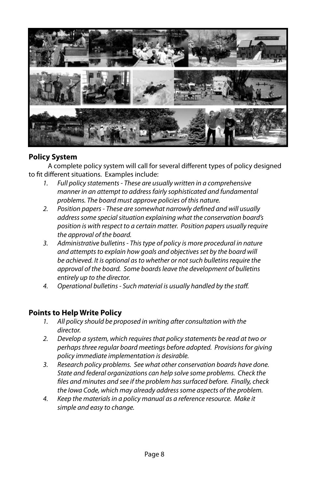

### **Policy System**

A complete policy system will call for several different types of policy designed to fit different situations. Examples include:

- *1. Full policy statements These are usually written in a comprehensive manner in an attempt to address fairly sophisticated and fundamental problems. The board must approve policies of this nature.*
- *2. Position papers These are somewhat narrowly defined and will usually address some special situation explaining what the conservation board's position is with respect to a certain matter. Position papers usually require the approval of the board.*
- *3. Administrative bulletins This type of policy is more procedural in nature and attempts to explain how goals and objectives set by the board will be achieved. It is optional as to whether or not such bulletins require the approval of the board. Some boards leave the development of bulletins entirely up to the director.*
- *4. Operational bulletins Such material is usually handled by the staff.*

### **Points to Help Write Policy**

- *1. All policy should be proposed in writing after consultation with the director.*
- *2. Develop a system, which requires that policy statements be read at two or perhaps three regular board meetings before adopted. Provisions for giving policy immediate implementation is desirable.*
- *3. Research policy problems. See what other conservation boards have done. State and federal organizations can help solve some problems. Check the files and minutes and see if the problem has surfaced before. Finally, check the Iowa Code, which may already address some aspects of the problem.*
- *4. Keep the materials in a policy manual as a reference resource. Make it simple and easy to change.*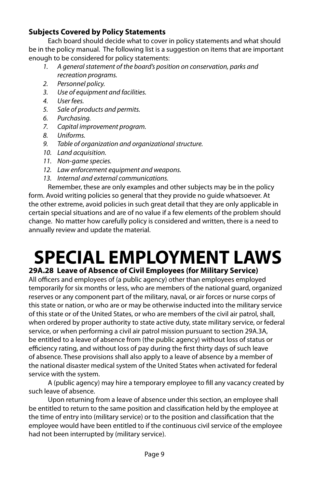### **Subjects Covered by Policy Statements**

Each board should decide what to cover in policy statements and what should be in the policy manual. The following list is a suggestion on items that are important enough to be considered for policy statements:

- *1. A general statement of the board's position on conservation, parks and recreation programs.*
- *2. Personnel policy.*
- *3. Use of equipment and facilities.*
- *4. User fees.*
- *5. Sale of products and permits.*
- *6. Purchasing.*
- *7. Capital improvement program.*
- *8. Uniforms.*
- *9. Table of organization and organizational structure.*
- *10. Land acquisition.*
- *11. Non-game species.*
- *12. Law enforcement equipment and weapons.*
- *13. Internal and external communications.*

Remember, these are only examples and other subjects may be in the policy form. Avoid writing policies so general that they provide no guide whatsoever. At the other extreme, avoid policies in such great detail that they are only applicable in certain special situations and are of no value if a few elements of the problem should change. No matter how carefully policy is considered and written, there is a need to annually review and update the material.

# **SPECIAL EMPLOYMENT LAWS**

### **29A.28 Leave of Absence of Civil Employees (for Military Service)**

All officers and employees of (a public agency) other than employees employed temporarily for six months or less, who are members of the national guard, organized reserves or any component part of the military, naval, or air forces or nurse corps of this state or nation, or who are or may be otherwise inducted into the military service of this state or of the United States, or who are members of the civil air patrol, shall, when ordered by proper authority to state active duty, state military service, or federal service, or when performing a civil air patrol mission pursuant to section 29A.3A, be entitled to a leave of absence from (the public agency) without loss of status or efficiency rating, and without loss of pay during the first thirty days of such leave of absence. These provisions shall also apply to a leave of absence by a member of the national disaster medical system of the United States when activated for federal service with the system.

A (public agency) may hire a temporary employee to fill any vacancy created by such leave of absence.

Upon returning from a leave of absence under this section, an employee shall be entitled to return to the same position and classification held by the employee at the time of entry into (military service) or to the position and classification that the employee would have been entitled to if the continuous civil service of the employee had not been interrupted by (military service).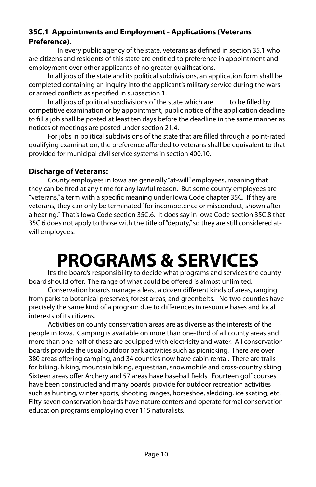### **35C.1 Appointments and Employment - Applications (Veterans Preference).**

 In every public agency of the state, veterans as defined in section 35.1 who are citizens and residents of this state are entitled to preference in appointment and employment over other applicants of no greater qualifications.

In all jobs of the state and its political subdivisions, an application form shall be completed containing an inquiry into the applicant's military service during the wars or armed conflicts as specified in subsection 1.

In all jobs of political subdivisions of the state which are to be filled by competitive examination or by appointment, public notice of the application deadline to fill a job shall be posted at least ten days before the deadline in the same manner as notices of meetings are posted under section 21.4.

For jobs in political subdivisions of the state that are filled through a point-rated qualifying examination, the preference afforded to veterans shall be equivalent to that provided for municipal civil service systems in section 400.10.

### **Discharge of Veterans:**

County employees in Iowa are generally "at-will" employees, meaning that they can be fired at any time for any lawful reason. But some county employees are "veterans," a term with a specific meaning under Iowa Code chapter 35C. If they are veterans, they can only be terminated "for incompetence or misconduct, shown after a hearing." That's Iowa Code section 35C.6. It does say in Iowa Code section 35C.8 that 35C.6 does not apply to those with the title of "deputy," so they are still considered atwill employees.

### **PROGRAMS & SERVICES**

It's the board's responsibility to decide what programs and services the county board should offer. The range of what could be offered is almost unlimited.

Conservation boards manage a least a dozen different kinds of areas, ranging from parks to botanical preserves, forest areas, and greenbelts. No two counties have precisely the same kind of a program due to differences in resource bases and local interests of its citizens.

Activities on county conservation areas are as diverse as the interests of the people in Iowa. Camping is available on more than one-third of all county areas and more than one-half of these are equipped with electricity and water. All conservation boards provide the usual outdoor park activities such as picnicking. There are over 380 areas offering camping, and 34 counties now have cabin rental. There are trails for biking, hiking, mountain biking, equestrian, snowmobile and cross-country skiing. Sixteen areas offer Archery and 57 areas have baseball fields. Fourteen golf courses have been constructed and many boards provide for outdoor recreation activities such as hunting, winter sports, shooting ranges, horseshoe, sledding, ice skating, etc. Fifty seven conservation boards have nature centers and operate formal conservation education programs employing over 115 naturalists.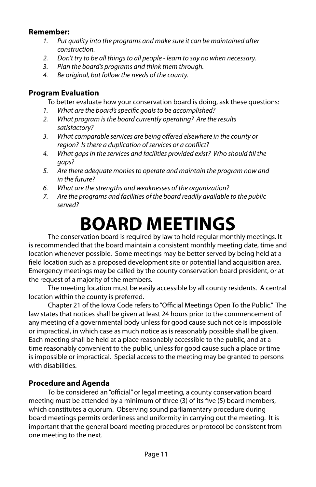### **Remember:**

- *1. Put quality into the programs and make sure it can be maintained after construction.*
- *2. Don't try to be all things to all people learn to say no when necessary.*
- *3. Plan the board's programs and think them through.*
- *4. Be original, but follow the needs of the county.*

### **Program Evaluation**

To better evaluate how your conservation board is doing, ask these questions:

- *1. What are the board's specific goals to be accomplished?*
- *2. What program is the board currently operating? Are the results satisfactory?*
- *3. What comparable services are being offered elsewhere in the county or region? Is there a duplication of services or a conflict?*
- *4. What gaps in the services and facilities provided exist? Who should fill the gaps?*
- *5. Are there adequate monies to operate and maintain the program now and in the future?*
- *6. What are the strengths and weaknesses of the organization?*
- *7. Are the programs and facilities of the board readily available to the public served?*

# **BOARD MEETINGS**

The conservation board is required by law to hold regular monthly meetings. It is recommended that the board maintain a consistent monthly meeting date, time and location whenever possible. Some meetings may be better served by being held at a field location such as a proposed development site or potential land acquisition area. Emergency meetings may be called by the county conservation board president, or at the request of a majority of the members.

The meeting location must be easily accessible by all county residents. A central location within the county is preferred.

Chapter 21 of the Iowa Code refers to "Official Meetings Open To the Public." The law states that notices shall be given at least 24 hours prior to the commencement of any meeting of a governmental body unless for good cause such notice is impossible or impractical, in which case as much notice as is reasonably possible shall be given. Each meeting shall be held at a place reasonably accessible to the public, and at a time reasonably convenient to the public, unless for good cause such a place or time is impossible or impractical. Special access to the meeting may be granted to persons with disabilities.

### **Procedure and Agenda**

To be considered an "official" or legal meeting, a county conservation board meeting must be attended by a minimum of three (3) of its five (5) board members, which constitutes a quorum. Observing sound parliamentary procedure during board meetings permits orderliness and uniformity in carrying out the meeting. It is important that the general board meeting procedures or protocol be consistent from one meeting to the next.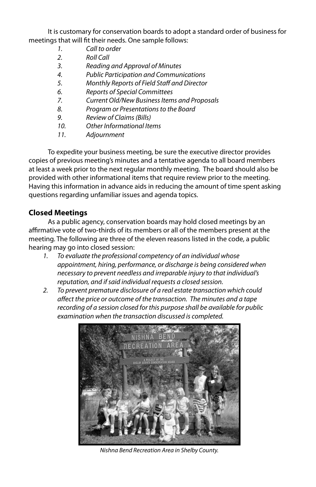It is customary for conservation boards to adopt a standard order of business for meetings that will fit their needs. One sample follows:

- *1. Call to order*
- *2. Roll Call*
- *3. Reading and Approval of Minutes*
- *4. Public Participation and Communications*
- *5. Monthly Reports of Field Staff and Director*
- *6. Reports of Special Committees*
- *7. Current Old/New Business Items and Proposals*
- *8. Program or Presentations to the Board*
- *9. Review of Claims (Bills)*
- *10. Other Informational Items*
- *11. Adjournment*

To expedite your business meeting, be sure the executive director provides copies of previous meeting's minutes and a tentative agenda to all board members at least a week prior to the next regular monthly meeting. The board should also be provided with other informational items that require review prior to the meeting. Having this information in advance aids in reducing the amount of time spent asking questions regarding unfamiliar issues and agenda topics.

### **Closed Meetings**

As a public agency, conservation boards may hold closed meetings by an affirmative vote of two-thirds of its members or all of the members present at the meeting. The following are three of the eleven reasons listed in the code, a public hearing may go into closed session:

- *1. To evaluate the professional competency of an individual whose appointment, hiring, performance, or discharge is being considered when necessary to prevent needless and irreparable injury to that individual's reputation, and if said individual requests a closed session.*
- *2. To prevent premature disclosure of a real estate transaction which could affect the price or outcome of the transaction. The minutes and a tape recording of a session closed for this purpose shall be available for public examination when the transaction discussed is completed.*



*Nishna Bend Recreation Area in Shelby County.*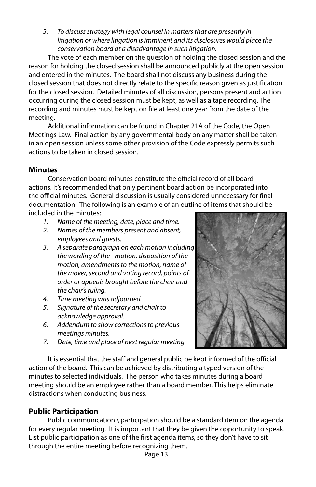*3. To discuss strategy with legal counsel in matters that are presently in litigation or where litigation is imminent and its disclosures would place the conservation board at a disadvantage in such litigation.*

The vote of each member on the question of holding the closed session and the reason for holding the closed session shall be announced publicly at the open session and entered in the minutes. The board shall not discuss any business during the closed session that does not directly relate to the specific reason given as justification for the closed session. Detailed minutes of all discussion, persons present and action occurring during the closed session must be kept, as well as a tape recording. The recording and minutes must be kept on file at least one year from the date of the meeting.

Additional information can be found in Chapter 21A of the Code, the Open Meetings Law. Final action by any governmental body on any matter shall be taken in an open session unless some other provision of the Code expressly permits such actions to be taken in closed session.

### **Minutes**

Conservation board minutes constitute the official record of all board actions. It's recommended that only pertinent board action be incorporated into the official minutes. General discussion is usually considered unnecessary for final documentation. The following is an example of an outline of items that should be included in the minutes:

- *1. Name of the meeting, date, place and time.*
- *2. Names of the members present and absent, employees and guests.*
- *3. A separate paragraph on each motion including the wording of the motion, disposition of the motion, amendments to the motion, name of the mover, second and voting record, points of order or appeals brought before the chair and the chair's ruling.*
- *4. Time meeting was adjourned.*
- *5. Signature of the secretary and chair to acknowledge approval.*
- *6. Addendum to show corrections to previous meetings minutes.*
- *7. Date, time and place of next regular meeting.*



It is essential that the staff and general public be kept informed of the official action of the board. This can be achieved by distributing a typed version of the minutes to selected individuals. The person who takes minutes during a board meeting should be an employee rather than a board member. This helps eliminate distractions when conducting business.

### **Public Participation**

Public communication \ participation should be a standard item on the agenda for every regular meeting. It is important that they be given the opportunity to speak. List public participation as one of the first agenda items, so they don't have to sit through the entire meeting before recognizing them.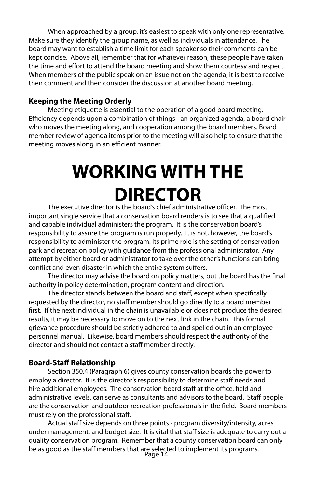When approached by a group, it's easiest to speak with only one representative. Make sure they identify the group name, as well as individuals in attendance. The board may want to establish a time limit for each speaker so their comments can be kept concise. Above all, remember that for whatever reason, these people have taken the time and effort to attend the board meeting and show them courtesy and respect. When members of the public speak on an issue not on the agenda, it is best to receive their comment and then consider the discussion at another board meeting.

#### **Keeping the Meeting Orderly**

Meeting etiquette is essential to the operation of a good board meeting. Efficiency depends upon a combination of things - an organized agenda, a board chair who moves the meeting along, and cooperation among the board members. Board member review of agenda items prior to the meeting will also help to ensure that the meeting moves along in an efficient manner.

# **WORKING WITH THE DIRECTOR**

The executive director is the board's chief administrative officer. The most important single service that a conservation board renders is to see that a qualified and capable individual administers the program. It is the conservation board's responsibility to assure the program is run properly. It is not, however, the board's responsibility to administer the program. Its prime role is the setting of conservation park and recreation policy with guidance from the professional administrator. Any attempt by either board or administrator to take over the other's functions can bring conflict and even disaster in which the entire system suffers.

The director may advise the board on policy matters, but the board has the final authority in policy determination, program content and direction.

The director stands between the board and staff, except when specifically requested by the director, no staff member should go directly to a board member first. If the next individual in the chain is unavailable or does not produce the desired results, it may be necessary to move on to the next link in the chain. This formal grievance procedure should be strictly adhered to and spelled out in an employee personnel manual. Likewise, board members should respect the authority of the director and should not contact a staff member directly.

#### **Board-Staff Relationship**

Section 350.4 (Paragraph 6) gives county conservation boards the power to employ a director. It is the director's responsibility to determine staff needs and hire additional employees. The conservation board staff at the office, field and administrative levels, can serve as consultants and advisors to the board. Staff people are the conservation and outdoor recreation professionals in the field. Board members must rely on the professional staff.

be as good as the staff members that are selected to implement its programs.<br>Page 14 Actual staff size depends on three points - program diversity/intensity, acres under management, and budget size. It is vital that staff size is adequate to carry out a quality conservation program. Remember that a county conservation board can only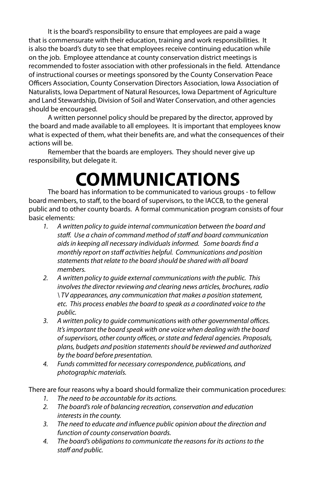It is the board's responsibility to ensure that employees are paid a wage that is commensurate with their education, training and work responsibilities. It is also the board's duty to see that employees receive continuing education while on the job. Employee attendance at county conservation district meetings is recommended to foster association with other professionals in the field. Attendance of instructional courses or meetings sponsored by the County Conservation Peace Officers Association, County Conservation Directors Association, Iowa Association of Naturalists, Iowa Department of Natural Resources, Iowa Department of Agriculture and Land Stewardship, Division of Soil and Water Conservation, and other agencies should be encouraged.

A written personnel policy should be prepared by the director, approved by the board and made available to all employees. It is important that employees know what is expected of them, what their benefits are, and what the consequences of their actions will be.

Remember that the boards are employers. They should never give up responsibility, but delegate it.

# **COMMUNICATIONS**

The board has information to be communicated to various groups - to fellow board members, to staff, to the board of supervisors, to the IACCB, to the general public and to other county boards. A formal communication program consists of four basic elements:

- *1. A written policy to guide internal communication between the board and staff. Use a chain of command method of staff and board communication aids in keeping all necessary individuals informed. Some boards find a monthly report on staff activities helpful. Communications and position statements that relate to the board should be shared with all board members.*
- *2. A written policy to guide external communications with the public. This involves the director reviewing and clearing news articles, brochures, radio \ TV appearances, any communication that makes a position statement, etc. This process enables the board to speak as a coordinated voice to the public.*
- *3. A written policy to guide communications with other governmental offices. It's important the board speak with one voice when dealing with the board of supervisors, other county offices, or state and federal agencies. Proposals, plans, budgets and position statements should be reviewed and authorized by the board before presentation.*
- *4. Funds committed for necessary correspondence, publications, and photographic materials.*

There are four reasons why a board should formalize their communication procedures:

- *1. The need to be accountable for its actions.*
- *2. The board's role of balancing recreation, conservation and education interests in the county.*
- *3. The need to educate and influence public opinion about the direction and function of county conservation boards.*
- *4. The board's obligations to communicate the reasons for its actions to the staff and public.*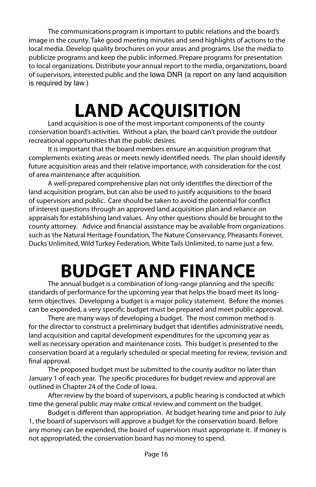The communications program is important to public relations and the board's image in the county. Take good meeting minutes and send highlights of actions to the local media. Develop quality brochures on your areas and programs. Use the media to publicize programs and keep the public informed. Prepare programs for presentation to local organizations. Distribute your annual report to the media, organizations, board of supervisors, interested public and the Iowa DNR (a report on any land acquisition is required by law.)

# **LAND ACQUISITION**

Land acquisition is one of the most important components of the county conservation board's activities. Without a plan, the board can't provide the outdoor recreational opportunities that the public desires.

It is important that the board members ensure an acquisition program that complements existing areas or meets newly identified needs. The plan should identify future acquisition areas and their relative importance, with consideration for the cost of area maintenance after acquisition.

A well-prepared comprehensive plan not only identifies the direction of the land acquisition program, but can also be used to justify acquisitions to the board of supervisors and public. Care should be taken to avoid the potential for conflict of interest questions through an approved land acquisition plan and reliance on appraisals for establishing land values. Any other questions should be brought to the county attorney. Advice and financial assistance may be available from organizations such as the Natural Heritage Foundation, The Nature Conservancy, Pheasants Forever, Ducks Unlimited, Wild Turkey Federation, White Tails Unlimited, to name just a few.

# **BUDGET AND FINANCE**

The annual budget is a combination of long-range planning and the specific standards of performance for the upcoming year that helps the board meet its longterm objectives. Developing a budget is a major policy statement. Before the monies can be expended, a very specific budget must be prepared and meet public approval.

There are many ways of developing a budget. The most common method is for the director to construct a preliminary budget that identifies administrative needs, land acquisition and capital development expenditures for the upcoming year as well as necessary operation and maintenance costs. This budget is presented to the conservation board at a regularly scheduled or special meeting for review, revision and final approval.

The proposed budget must be submitted to the county auditor no later than January 1 of each year. The specific procedures for budget review and approval are outlined in Chapter 24 of the Code of Iowa.

After review by the board of supervisors, a public hearing is conducted at which time the general public may make critical review and comment on the budget.

Budget is different than appropriation. At budget hearing time and prior to July 1, the board of supervisors will approve a budget for the conservation board. Before any money can be expended, the board of supervisors must appropriate it. If money is not appropriated, the conservation board has no money to spend.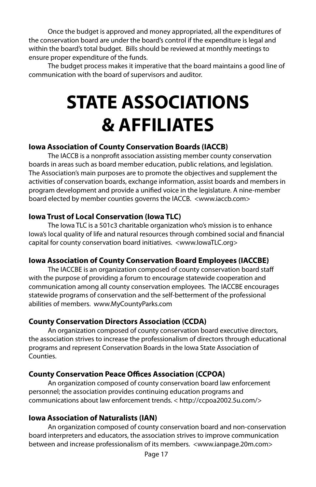Once the budget is approved and money appropriated, all the expenditures of the conservation board are under the board's control if the expenditure is legal and within the board's total budget. Bills should be reviewed at monthly meetings to ensure proper expenditure of the funds.

The budget process makes it imperative that the board maintains a good line of communication with the board of supervisors and auditor.

# **STATE ASSOCIATIONS & AFFILIATES**

### **Iowa Association of County Conservation Boards (IACCB)**

The IACCB is a nonprofit association assisting member county conservation boards in areas such as board member education, public relations, and legislation. The Association's main purposes are to promote the objectives and supplement the activities of conservation boards, exchange information, assist boards and members in program development and provide a unified voice in the legislature. A nine-member board elected by member counties governs the IACCB. <www.iaccb.com>

### **Iowa Trust of Local Conservation (Iowa TLC)**

The Iowa TLC is a 501c3 charitable organization who's mission is to enhance Iowa's local quality of life and natural resources through combined social and financial capital for county conservation board initiatives. <www.IowaTLC.org>

### **Iowa Association of County Conservation Board Employees (IACCBE)**

The IACCBE is an organization composed of county conservation board staff with the purpose of providing a forum to encourage statewide cooperation and communication among all county conservation employees. The IACCBE encourages statewide programs of conservation and the self-betterment of the professional abilities of members. www.MyCountyParks.com

### **County Conservation Directors Association (CCDA)**

An organization composed of county conservation board executive directors, the association strives to increase the professionalism of directors through educational programs and represent Conservation Boards in the Iowa State Association of Counties.

### **County Conservation Peace Offices Association (CCPOA)**

An organization composed of county conservation board law enforcement personnel; the association provides continuing education programs and communications about law enforcement trends. < http://ccpoa2002.5u.com/>

### **Iowa Association of Naturalists (IAN)**

An organization composed of county conservation board and non-conservation board interpreters and educators, the association strives to improve communication between and increase professionalism of its members. <www.ianpage.20m.com>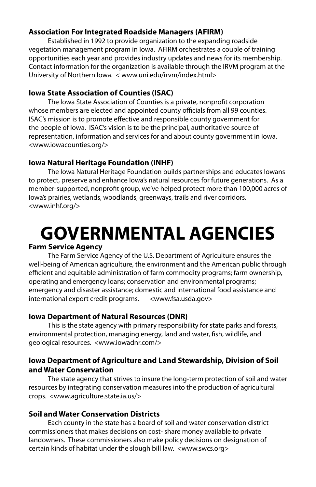### **Association For Integrated Roadside Managers (AFIRM)**

Established in 1992 to provide organization to the expanding roadside vegetation management program in Iowa. AFIRM orchestrates a couple of training opportunities each year and provides industry updates and news for its membership. Contact information for the organization is available through the IRVM program at the University of Northern Iowa. < www.uni.edu/irvm/index.html>

### **Iowa State Association of Counties (ISAC)**

The Iowa State Association of Counties is a private, nonprofit corporation whose members are elected and appointed county officials from all 99 counties. ISAC's mission is to promote effective and responsible county government for the people of Iowa. ISAC's vision is to be the principal, authoritative source of representation, information and services for and about county government in Iowa. <www.iowacounties.org/>

### **Iowa Natural Heritage Foundation (INHF)**

The Iowa Natural Heritage Foundation builds partnerships and educates Iowans to protect, preserve and enhance Iowa's natural resources for future generations. As a member-supported, nonprofit group, we've helped protect more than 100,000 acres of Iowa's prairies, wetlands, woodlands, greenways, trails and river corridors. <www.inhf.org/>

# **GOVERNMENTAL AGENCIES**

### **Farm Service Agency**

The Farm Service Agency of the U.S. Department of Agriculture ensures the well-being of American agriculture, the environment and the American public through efficient and equitable administration of farm commodity programs; farm ownership, operating and emergency loans; conservation and environmental programs; emergency and disaster assistance; domestic and international food assistance and international export credit programs. <www.fsa.usda.gov>

#### **Iowa Department of Natural Resources (DNR)**

This is the state agency with primary responsibility for state parks and forests, environmental protection, managing energy, land and water, fish, wildlife, and geological resources. <www.iowadnr.com/>

### **Iowa Department of Agriculture and Land Stewardship, Division of Soil and Water Conservation**

The state agency that strives to insure the long-term protection of soil and water resources by integrating conservation measures into the production of agricultural crops. <www.agriculture.state.ia.us/>

#### **Soil and Water Conservation Districts**

Each county in the state has a board of soil and water conservation district commissioners that makes decisions on cost- share money available to private landowners. These commissioners also make policy decisions on designation of certain kinds of habitat under the slough bill law. <www.swcs.org>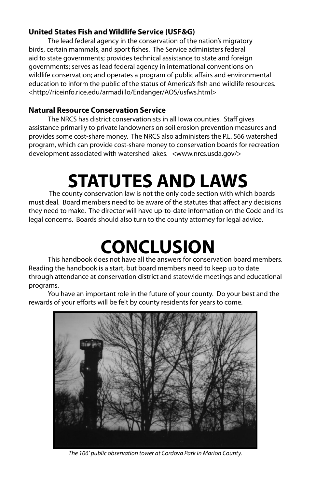### **United States Fish and Wildlife Service (USF&G)**

The lead federal agency in the conservation of the nation's migratory birds, certain mammals, and sport fishes. The Service administers federal aid to state governments; provides technical assistance to state and foreign governments; serves as lead federal agency in international conventions on wildlife conservation; and operates a program of public affairs and environmental education to inform the public of the status of America's fish and wildlife resources. <http://riceinfo.rice.edu/armadillo/Endanger/AOS/usfws.html>

### **Natural Resource Conservation Service**

The NRCS has district conservationists in all Iowa counties. Staff gives assistance primarily to private landowners on soil erosion prevention measures and provides some cost-share money. The NRCS also administers the P.L. 566 watershed program, which can provide cost-share money to conservation boards for recreation development associated with watershed lakes. <www.nrcs.usda.gov/>

# **STATUTES AND LAWS**

 The county conservation law is not the only code section with which boards must deal. Board members need to be aware of the statutes that affect any decisions they need to make. The director will have up-to-date information on the Code and its legal concerns. Boards should also turn to the county attorney for legal advice.

## **CONCLUSION**

This handbook does not have all the answers for conservation board members. Reading the handbook is a start, but board members need to keep up to date through attendance at conservation district and statewide meetings and educational programs.

You have an important role in the future of your county. Do your best and the rewards of your efforts will be felt by county residents for years to come.



*The 106' public observation tower at Cordova Park in Marion County.*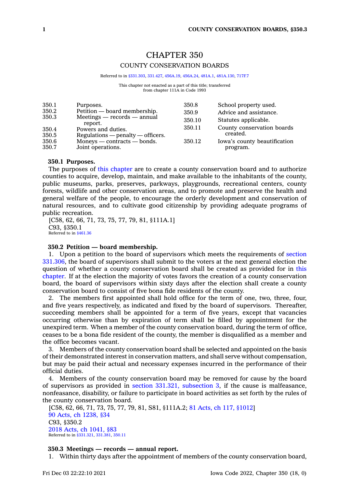### CHAPTER 350 COUNTY CONSERVATION BOARDS

#### Referred to in [§331.303](https://www.legis.iowa.gov/docs/code/331.303.pdf), [331.427](https://www.legis.iowa.gov/docs/code/331.427.pdf), [456A.19](https://www.legis.iowa.gov/docs/code/456A.19.pdf), [456A.24](https://www.legis.iowa.gov/docs/code/456A.24.pdf), [481A.1](https://www.legis.iowa.gov/docs/code/481A.1.pdf), [481A.130](https://www.legis.iowa.gov/docs/code/481A.130.pdf), [717F.7](https://www.legis.iowa.gov/docs/code/717F.7.pdf)

This chapter not enacted as <sup>a</sup> part of this title; transferred from chapter 111A in Code 1993

| 350.1          | Purposes.                                                 | 350.8  | School property used.                    |
|----------------|-----------------------------------------------------------|--------|------------------------------------------|
| 350.2          | Petition — board membership.                              | 350.9  | Advice and assistance.                   |
| 350.3          | $Meetings - records - annual$<br>report.                  | 350.10 | Statutes applicable.                     |
| 350.4<br>350.5 | Powers and duties.<br>$Regularions$ - penalty - officers. | 350.11 | County conservation boards<br>created.   |
| 350.6<br>350.7 | $Moneys$ — contracts — bonds.<br>Joint operations.        | 350.12 | Iowa's county beautification<br>program. |

#### **350.1 Purposes.**

The purposes of this [chapter](https://www.legis.iowa.gov/docs/code//350.pdf) are to create <sup>a</sup> county conservation board and to authorize counties to acquire, develop, maintain, and make available to the inhabitants of the county, public museums, parks, preserves, parkways, playgrounds, recreational centers, county forests, wildlife and other conservation areas, and to promote and preserve the health and general welfare of the people, to encourage the orderly development and conservation of natural resources, and to cultivate good citizenship by providing adequate programs of public recreation.

[C58, 62, 66, 71, 73, 75, 77, 79, 81, §111A.1] C93, §350.1 Referred to in [§461.36](https://www.legis.iowa.gov/docs/code/461.36.pdf)

#### **350.2 Petition — board membership.**

1. Upon <sup>a</sup> petition to the board of supervisors which meets the requirements of [section](https://www.legis.iowa.gov/docs/code/331.306.pdf) [331.306](https://www.legis.iowa.gov/docs/code/331.306.pdf), the board of supervisors shall submit to the voters at the next general election the question of whether <sup>a</sup> county conservation board shall be created as provided for in [this](https://www.legis.iowa.gov/docs/code//350.pdf) [chapter](https://www.legis.iowa.gov/docs/code//350.pdf). If at the election the majority of votes favors the creation of <sup>a</sup> county conservation board, the board of supervisors within sixty days after the election shall create <sup>a</sup> county conservation board to consist of five bona fide residents of the county.

2. The members first appointed shall hold office for the term of one, two, three, four, and five years respectively, as indicated and fixed by the board of supervisors. Thereafter, succeeding members shall be appointed for <sup>a</sup> term of five years, except that vacancies occurring otherwise than by expiration of term shall be filled by appointment for the unexpired term. When <sup>a</sup> member of the county conservation board, during the term of office, ceases to be <sup>a</sup> bona fide resident of the county, the member is disqualified as <sup>a</sup> member and the office becomes vacant.

3. Members of the county conservation board shall be selected and appointed on the basis of their demonstrated interest in conservation matters, and shall serve without compensation, but may be paid their actual and necessary expenses incurred in the performance of their official duties.

4. Members of the county conservation board may be removed for cause by the board of supervisors as provided in section 331.321, [subsection](https://www.legis.iowa.gov/docs/code/331.321.pdf) 3, if the cause is malfeasance, nonfeasance, disability, or failure to participate in board activities as set forth by the rules of the county conservation board.

[C58, 62, 66, 71, 73, 75, 77, 79, 81, S81, §111A.2; 81 Acts, ch 117, [§1012\]](https://www.legis.iowa.gov/docs/acts/1981/CH0117.pdf) 90 Acts, ch [1238,](https://www.legis.iowa.gov/docs/acts/1990/CH1238.pdf) §34 C93, §350.2 2018 Acts, ch [1041,](https://www.legis.iowa.gov/docs/acts/2018/CH1041.pdf) §83 Referred to in [§331.321](https://www.legis.iowa.gov/docs/code/331.321.pdf), [331.381](https://www.legis.iowa.gov/docs/code/331.381.pdf), [350.11](https://www.legis.iowa.gov/docs/code/350.11.pdf)

#### **350.3 Meetings — records — annual report.**

1. Within thirty days after the appointment of members of the county conservation board,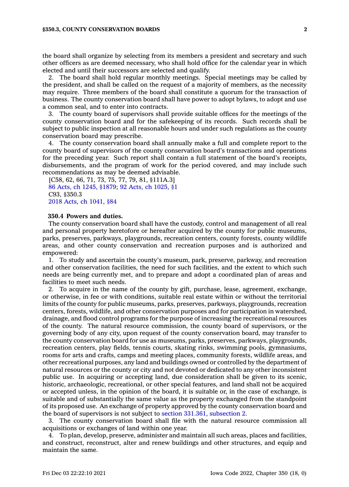the board shall organize by selecting from its members <sup>a</sup> president and secretary and such other officers as are deemed necessary, who shall hold office for the calendar year in which elected and until their successors are selected and qualify.

2. The board shall hold regular monthly meetings. Special meetings may be called by the president, and shall be called on the request of <sup>a</sup> majority of members, as the necessity may require. Three members of the board shall constitute <sup>a</sup> quorum for the transaction of business. The county conservation board shall have power to adopt bylaws, to adopt and use <sup>a</sup> common seal, and to enter into contracts.

3. The county board of supervisors shall provide suitable offices for the meetings of the county conservation board and for the safekeeping of its records. Such records shall be subject to public inspection at all reasonable hours and under such regulations as the county conservation board may prescribe.

4. The county conservation board shall annually make <sup>a</sup> full and complete report to the county board of supervisors of the county conservation board's transactions and operations for the preceding year. Such report shall contain <sup>a</sup> full statement of the board's receipts, disbursements, and the program of work for the period covered, and may include such recommendations as may be deemed advisable.

[C58, 62, 66, 71, 73, 75, 77, 79, 81, §111A.3] 86 Acts, ch 1245, [§1879](https://www.legis.iowa.gov/docs/acts/1986/CH1245.pdf); 92 Acts, ch [1025,](https://www.legis.iowa.gov/docs/acts/1992/CH1025.pdf) §1 C93, §350.3 2018 Acts, ch [1041,](https://www.legis.iowa.gov/docs/acts/2018/CH1041.pdf) §84

#### **350.4 Powers and duties.**

The county conservation board shall have the custody, control and management of all real and personal property heretofore or hereafter acquired by the county for public museums, parks, preserves, parkways, playgrounds, recreation centers, county forests, county wildlife areas, and other county conservation and recreation purposes and is authorized and empowered:

1. To study and ascertain the county's museum, park, preserve, parkway, and recreation and other conservation facilities, the need for such facilities, and the extent to which such needs are being currently met, and to prepare and adopt <sup>a</sup> coordinated plan of areas and facilities to meet such needs.

2. To acquire in the name of the county by gift, purchase, lease, agreement, exchange, or otherwise, in fee or with conditions, suitable real estate within or without the territorial limits of the county for public museums, parks, preserves, parkways, playgrounds, recreation centers, forests, wildlife, and other conservation purposes and for participation in watershed, drainage, and flood control programs for the purpose of increasing the recreational resources of the county. The natural resource commission, the county board of supervisors, or the governing body of any city, upon request of the county conservation board, may transfer to the county conservation board for use as museums, parks, preserves, parkways, playgrounds, recreation centers, play fields, tennis courts, skating rinks, swimming pools, gymnasiums, rooms for arts and crafts, camps and meeting places, community forests, wildlife areas, and other recreational purposes, any land and buildings owned or controlled by the department of natural resources or the county or city and not devoted or dedicated to any other inconsistent public use. In acquiring or accepting land, due consideration shall be given to its scenic, historic, archaeologic, recreational, or other special features, and land shall not be acquired or accepted unless, in the opinion of the board, it is suitable or, in the case of exchange, is suitable and of substantially the same value as the property exchanged from the standpoint of its proposed use. An exchange of property approved by the county conservation board and the board of supervisors is not subject to section 331.361, [subsection](https://www.legis.iowa.gov/docs/code/331.361.pdf) 2.

3. The county conservation board shall file with the natural resource commission all acquisitions or exchanges of land within one year.

4. To plan, develop, preserve, administer and maintain all such areas, places and facilities, and construct, reconstruct, alter and renew buildings and other structures, and equip and maintain the same.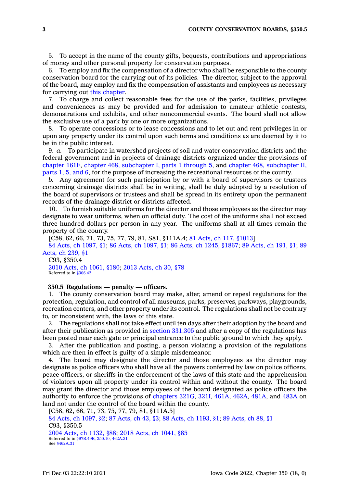5. To accept in the name of the county gifts, bequests, contributions and appropriations of money and other personal property for conservation purposes.

6. To employ and fix the compensation of <sup>a</sup> director who shall be responsible to the county conservation board for the carrying out of its policies. The director, subject to the approval of the board, may employ and fix the compensation of assistants and employees as necessary for carrying out this [chapter](https://www.legis.iowa.gov/docs/code//350.pdf).

7. To charge and collect reasonable fees for the use of the parks, facilities, privileges and conveniences as may be provided and for admission to amateur athletic contests, demonstrations and exhibits, and other noncommercial events. The board shall not allow the exclusive use of <sup>a</sup> park by one or more organizations.

8. To operate concessions or to lease concessions and to let out and rent privileges in or upon any property under its control upon such terms and conditions as are deemed by it to be in the public interest.

9. *a.* To participate in watershed projects of soil and water conservation districts and the federal government and in projects of drainage districts organized under the provisions of [chapter](https://www.legis.iowa.gov/docs/code//161F.pdf) 161F, chapter 468, [subchapter](https://www.legis.iowa.gov/docs/code//468.pdf) I, parts 1 through 5, and chapter 468, [subchapter](https://www.legis.iowa.gov/docs/code//468.pdf) II, [parts](https://www.legis.iowa.gov/docs/code//468.pdf) 1, 5, and 6, for the purpose of increasing the recreational resources of the county.

*b.* Any agreement for such participation by or with <sup>a</sup> board of supervisors or trustees concerning drainage districts shall be in writing, shall be duly adopted by <sup>a</sup> resolution of the board of supervisors or trustees and shall be spread in its entirety upon the permanent records of the drainage district or districts affected.

10. To furnish suitable uniforms for the director and those employees as the director may designate to wear uniforms, when on official duty. The cost of the uniforms shall not exceed three hundred dollars per person in any year. The uniforms shall at all times remain the property of the county.

[C58, 62, 66, 71, 73, 75, 77, 79, 81, S81, §111A.4; 81 Acts, ch 117, [§1013\]](https://www.legis.iowa.gov/docs/acts/1981/CH0117.pdf)

84 Acts, ch [1097,](https://www.legis.iowa.gov/docs/acts/1984/CH1097.pdf) §1; 86 Acts, ch [1097,](https://www.legis.iowa.gov/docs/acts/1986/CH1097.pdf) §1; 86 Acts, ch 1245, [§1867](https://www.legis.iowa.gov/docs/acts/1986/CH1245.pdf); 89 [Acts,](https://www.legis.iowa.gov/docs/acts/1989/CH0191.pdf) ch 191, §1; [89](https://www.legis.iowa.gov/docs/acts/1989/CH0239.pdf) [Acts,](https://www.legis.iowa.gov/docs/acts/1989/CH0239.pdf) ch 239, §1

C93, §350.4 2010 Acts, ch [1061,](https://www.legis.iowa.gov/docs/acts/2010/CH1061.pdf) §180; 2013 [Acts,](https://www.legis.iowa.gov/docs/acts/2013/CH0030.pdf) ch 30, §78 Referred to in [§306.42](https://www.legis.iowa.gov/docs/code/306.42.pdf)

#### **350.5 Regulations — penalty — officers.**

1. The county conservation board may make, alter, amend or repeal regulations for the protection, regulation, and control of all museums, parks, preserves, parkways, playgrounds, recreation centers, and other property under its control. The regulations shall not be contrary to, or inconsistent with, the laws of this state.

2. The regulations shall not take effect until ten days after their adoption by the board and after their publication as provided in section [331.305](https://www.legis.iowa.gov/docs/code/331.305.pdf) and after <sup>a</sup> copy of the regulations has been posted near each gate or principal entrance to the public ground to which they apply.

3. After the publication and posting, <sup>a</sup> person violating <sup>a</sup> provision of the regulations which are then in effect is guilty of <sup>a</sup> simple misdemeanor.

4. The board may designate the director and those employees as the director may designate as police officers who shall have all the powers conferred by law on police officers, peace officers, or sheriffs in the enforcement of the laws of this state and the apprehension of violators upon all property under its control within and without the county. The board may grant the director and those employees of the board designated as police officers the authority to enforce the provisions of [chapters](https://www.legis.iowa.gov/docs/code//321G.pdf) 321G, [321I](https://www.legis.iowa.gov/docs/code//321I.pdf), [461A](https://www.legis.iowa.gov/docs/code//461A.pdf), [462A](https://www.legis.iowa.gov/docs/code//462A.pdf), [481A](https://www.legis.iowa.gov/docs/code//481A.pdf), and [483A](https://www.legis.iowa.gov/docs/code//483A.pdf) on land not under the control of the board within the county.

[C58, 62, 66, 71, 73, 75, 77, 79, 81, §111A.5] 84 Acts, ch [1097,](https://www.legis.iowa.gov/docs/acts/1984/CH1097.pdf) §2; 87 [Acts,](https://www.legis.iowa.gov/docs/acts/87/CH0043.pdf) ch 43, §3; 88 Acts, ch [1193,](https://www.legis.iowa.gov/docs/acts/88/CH1193.pdf) §1; 89 [Acts,](https://www.legis.iowa.gov/docs/acts/89/CH0088.pdf) ch 88, §1 C93, §350.5 2004 Acts, ch [1132,](https://www.legis.iowa.gov/docs/acts/2004/CH1132.pdf) §88; 2018 Acts, ch [1041,](https://www.legis.iowa.gov/docs/acts/2018/CH1041.pdf) §85 Referred to in [§97B.49B,](https://www.legis.iowa.gov/docs/code/97B.49B.pdf) [350.10](https://www.legis.iowa.gov/docs/code/350.10.pdf), [462A.31](https://www.legis.iowa.gov/docs/code/462A.31.pdf) See [§462A.31](https://www.legis.iowa.gov/docs/code/462A.31.pdf)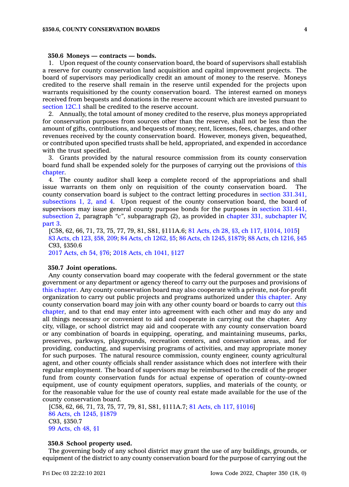#### **350.6 Moneys — contracts — bonds.**

1. Upon request of the county conservation board, the board of supervisors shall establish <sup>a</sup> reserve for county conservation land acquisition and capital improvement projects. The board of supervisors may periodically credit an amount of money to the reserve. Moneys credited to the reserve shall remain in the reserve until expended for the projects upon warrants requisitioned by the county conservation board. The interest earned on moneys received from bequests and donations in the reserve account which are invested pursuant to [section](https://www.legis.iowa.gov/docs/code/12C.1.pdf) 12C.1 shall be credited to the reserve account.

2. Annually, the total amount of money credited to the reserve, plus moneys appropriated for conservation purposes from sources other than the reserve, shall not be less than the amount of gifts, contributions, and bequests of money, rent, licenses, fees, charges, and other revenues received by the county conservation board. However, moneys given, bequeathed, or contributed upon specified trusts shall be held, appropriated, and expended in accordance with the trust specified.

3. Grants provided by the natural resource commission from its county conservation board fund shall be expended solely for the purposes of carrying out the provisions of [this](https://www.legis.iowa.gov/docs/code//350.pdf) [chapter](https://www.legis.iowa.gov/docs/code//350.pdf).

4. The county auditor shall keep <sup>a</sup> complete record of the appropriations and shall issue warrants on them only on requisition of the county conservation board. The county conservation board is subject to the contract letting procedures in section [331.341,](https://www.legis.iowa.gov/docs/code/331.341.pdf) [subsections](https://www.legis.iowa.gov/docs/code/331.341.pdf) 1, 2, and 4. Upon request of the county conservation board, the board of supervisors may issue general county purpose bonds for the purposes in section [331.441,](https://www.legis.iowa.gov/docs/code/331.441.pdf) [subsection](https://www.legis.iowa.gov/docs/code/331.441.pdf) 2, paragraph *"c"*, subparagraph (2), as provided in chapter 331, [subchapter](https://www.legis.iowa.gov/docs/code//331.pdf) IV, [part](https://www.legis.iowa.gov/docs/code//331.pdf) 3.

[C58, 62, 66, 71, 73, 75, 77, 79, 81, S81, §111A.6; 81 [Acts,](https://www.legis.iowa.gov/docs/acts/1981/CH0028.pdf) ch 28, §3, ch 117, [§1014,](https://www.legis.iowa.gov/docs/acts/1981/CH0117.pdf) 1015] 83 [Acts,](https://www.legis.iowa.gov/docs/acts/1983/CH0123.pdf) ch 123, §58, 209; 84 Acts, ch [1262,](https://www.legis.iowa.gov/docs/acts/1984/CH1262.pdf) §5; 86 Acts, ch 1245, [§1879](https://www.legis.iowa.gov/docs/acts/1986/CH1245.pdf); 88 Acts, ch [1216,](https://www.legis.iowa.gov/docs/acts/1988/CH1216.pdf) §45 C93, §350.6

2017 [Acts,](https://www.legis.iowa.gov/docs/acts/2017/CH0054.pdf) ch 54, §76; 2018 Acts, ch [1041,](https://www.legis.iowa.gov/docs/acts/2018/CH1041.pdf) §127

#### **350.7 Joint operations.**

Any county conservation board may cooperate with the federal government or the state government or any department or agency thereof to carry out the purposes and provisions of this [chapter](https://www.legis.iowa.gov/docs/code//350.pdf). Any county conservation board may also cooperate with <sup>a</sup> private, not-for-profit organization to carry out public projects and programs authorized under this [chapter](https://www.legis.iowa.gov/docs/code//350.pdf). Any county conservation board may join with any other county board or boards to carry out [this](https://www.legis.iowa.gov/docs/code//350.pdf) [chapter](https://www.legis.iowa.gov/docs/code//350.pdf), and to that end may enter into agreement with each other and may do any and all things necessary or convenient to aid and cooperate in carrying out the chapter. Any city, village, or school district may aid and cooperate with any county conservation board or any combination of boards in equipping, operating, and maintaining museums, parks, preserves, parkways, playgrounds, recreation centers, and conservation areas, and for providing, conducting, and supervising programs of activities, and may appropriate money for such purposes. The natural resource commission, county engineer, county agricultural agent, and other county officials shall render assistance which does not interfere with their regular employment. The board of supervisors may be reimbursed to the credit of the proper fund from county conservation funds for actual expense of operation of county-owned equipment, use of county equipment operators, supplies, and materials of the county, or for the reasonable value for the use of county real estate made available for the use of the county conservation board.

[C58, 62, 66, 71, 73, 75, 77, 79, 81, S81, §111A.7; 81 Acts, ch 117, [§1016\]](https://www.legis.iowa.gov/docs/acts/1981/CH0117.pdf) 86 Acts, ch 1245, [§1879](https://www.legis.iowa.gov/docs/acts/1986/CH1245.pdf) C93, §350.7 99 [Acts,](https://www.legis.iowa.gov/docs/acts/1999/CH0048.pdf) ch 48, §1

#### **350.8 School property used.**

The governing body of any school district may grant the use of any buildings, grounds, or equipment of the district to any county conservation board for the purpose of carrying out the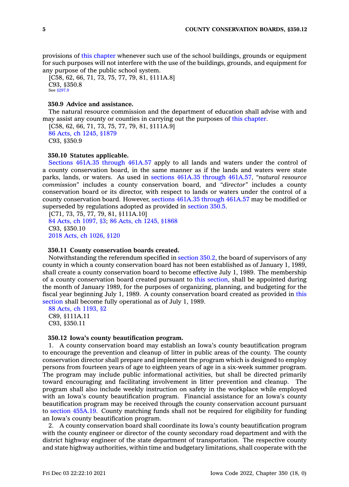provisions of this [chapter](https://www.legis.iowa.gov/docs/code//350.pdf) whenever such use of the school buildings, grounds or equipment for such purposes will not interfere with the use of the buildings, grounds, and equipment for any purpose of the public school system.

[C58, 62, 66, 71, 73, 75, 77, 79, 81, §111A.8] C93, §350.8 See [§297.9](https://www.legis.iowa.gov/docs/code/297.9.pdf)

#### **350.9 Advice and assistance.**

The natural resource commission and the department of education shall advise with and may assist any county or counties in carrying out the purposes of this [chapter](https://www.legis.iowa.gov/docs/code//350.pdf).

[C58, 62, 66, 71, 73, 75, 77, 79, 81, §111A.9] 86 Acts, ch 1245, [§1879](https://www.legis.iowa.gov/docs/acts/1986/CH1245.pdf) C93, §350.9

#### **350.10 Statutes applicable.**

Sections 461A.35 [through](https://www.legis.iowa.gov/docs/code/461A.35.pdf) 461A.57 apply to all lands and waters under the control of <sup>a</sup> county conservation board, in the same manner as if the lands and waters were state parks, lands, or waters. As used in sections 461A.35 through [461A.57](https://www.legis.iowa.gov/docs/code/461A.35.pdf), *"natural resource commission"* includes <sup>a</sup> county conservation board, and *"director"* includes <sup>a</sup> county conservation board or its director, with respect to lands or waters under the control of <sup>a</sup> county conservation board. However, sections 461A.35 [through](https://www.legis.iowa.gov/docs/code/461A.35.pdf) 461A.57 may be modified or superseded by regulations adopted as provided in [section](https://www.legis.iowa.gov/docs/code/350.5.pdf) 350.5.

 $[C71, 73, 75, 77, 79, 81, $111A.10]$ 84 Acts, ch [1097,](https://www.legis.iowa.gov/docs/acts/1984/CH1097.pdf) §3; 86 Acts, ch 1245, [§1868](https://www.legis.iowa.gov/docs/acts/1986/CH1245.pdf) C93, §350.10 2018 Acts, ch [1026,](https://www.legis.iowa.gov/docs/acts/2018/CH1026.pdf) §120

#### **350.11 County conservation boards created.**

Notwithstanding the referendum specified in [section](https://www.legis.iowa.gov/docs/code/350.2.pdf) 350.2, the board of supervisors of any county in which <sup>a</sup> county conservation board has not been established as of January 1, 1989, shall create <sup>a</sup> county conservation board to become effective July 1, 1989. The membership of <sup>a</sup> county conservation board created pursuant to this [section](https://www.legis.iowa.gov/docs/code/350.11.pdf), shall be appointed during the month of January 1989, for the purposes of organizing, planning, and budgeting for the fiscal year beginning July 1, 1989. A county conservation board created as provided in [this](https://www.legis.iowa.gov/docs/code/350.11.pdf) [section](https://www.legis.iowa.gov/docs/code/350.11.pdf) shall become fully operational as of July 1, 1989.

88 Acts, ch [1193,](https://www.legis.iowa.gov/docs/acts/1988/CH1193.pdf) §2

C89, §111A.11 C93, §350.11

#### **350.12 Iowa's county beautification program.**

1. A county conservation board may establish an Iowa's county beautification program to encourage the prevention and cleanup of litter in public areas of the county. The county conservation director shall prepare and implement the program which is designed to employ persons from fourteen years of age to eighteen years of age in <sup>a</sup> six-week summer program. The program may include public informational activities, but shall be directed primarily toward encouraging and facilitating involvement in litter prevention and cleanup. The program shall also include weekly instruction on safety in the workplace while employed with an Iowa's county beautification program. Financial assistance for an Iowa's county beautification program may be received through the county conservation account pursuant to section [455A.19](https://www.legis.iowa.gov/docs/code/455A.19.pdf). County matching funds shall not be required for eligibility for funding an Iowa's county beautification program.

2. A county conservation board shall coordinate its Iowa's county beautification program with the county engineer or director of the county secondary road department and with the district highway engineer of the state department of transportation. The respective county and state highway authorities, within time and budgetary limitations, shall cooperate with the